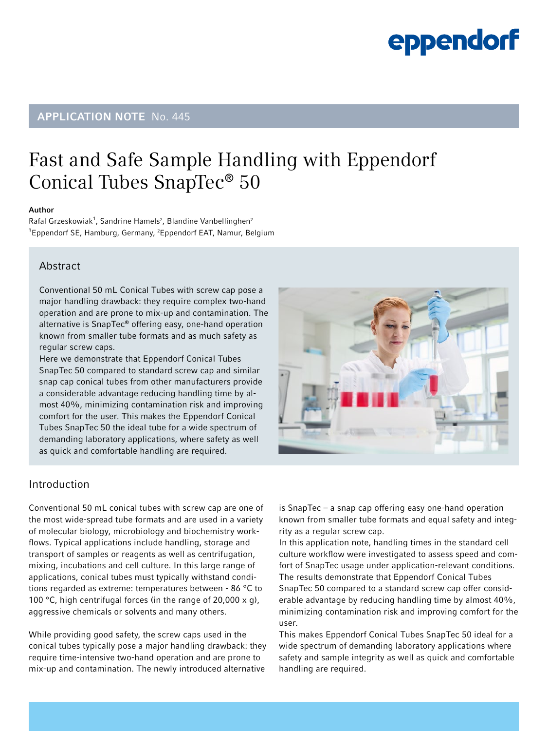## eppendorf

### APPLICATION NOTE No. 445

### Fast and Safe Sample Handling with Eppendorf Conical Tubes SnapTec® 50

#### Author

Rafal Grzeskowiak<sup>1</sup>, Sandrine Hamels<sup>2</sup>, Blandine Vanbellinghen<sup>2</sup> <sup>1</sup>Eppendorf SE, Hamburg, Germany, <sup>2</sup>Eppendorf EAT, Namur, Belgium

### Abstract

Conventional 50 mL Conical Tubes with screw cap pose a major handling drawback: they require complex two-hand operation and are prone to mix-up and contamination. The alternative is SnapTec® offering easy, one-hand operation known from smaller tube formats and as much safety as regular screw caps.

Here we demonstrate that Eppendorf Conical Tubes SnapTec 50 compared to standard screw cap and similar snap cap conical tubes from other manufacturers provide a considerable advantage reducing handling time by almost 40%, minimizing contamination risk and improving comfort for the user. This makes the Eppendorf Conical Tubes SnapTec 50 the ideal tube for a wide spectrum of demanding laboratory applications, where safety as well as quick and comfortable handling are required.



### Introduction

Conventional 50 mL conical tubes with screw cap are one of the most wide-spread tube formats and are used in a variety of molecular biology, microbiology and biochemistry workflows. Typical applications include handling, storage and transport of samples or reagents as well as centrifugation, mixing, incubations and cell culture. In this large range of applications, conical tubes must typically withstand conditions regarded as extreme: temperatures between - 86 °C to 100 °C, high centrifugal forces (in the range of 20,000  $\times$  g), aggressive chemicals or solvents and many others.

While providing good safety, the screw caps used in the conical tubes typically pose a major handling drawback: they require time-intensive two-hand operation and are prone to mix-up and contamination. The newly introduced alternative

is SnapTec – a snap cap offering easy one-hand operation known from smaller tube formats and equal safety and integrity as a regular screw cap.

In this application note, handling times in the standard cell culture workflow were investigated to assess speed and comfort of SnapTec usage under application-relevant conditions. The results demonstrate that Eppendorf Conical Tubes SnapTec 50 compared to a standard screw cap offer considerable advantage by reducing handling time by almost 40%, minimizing contamination risk and improving comfort for the user.

This makes Eppendorf Conical Tubes SnapTec 50 ideal for a wide spectrum of demanding laboratory applications where safety and sample integrity as well as quick and comfortable handling are required.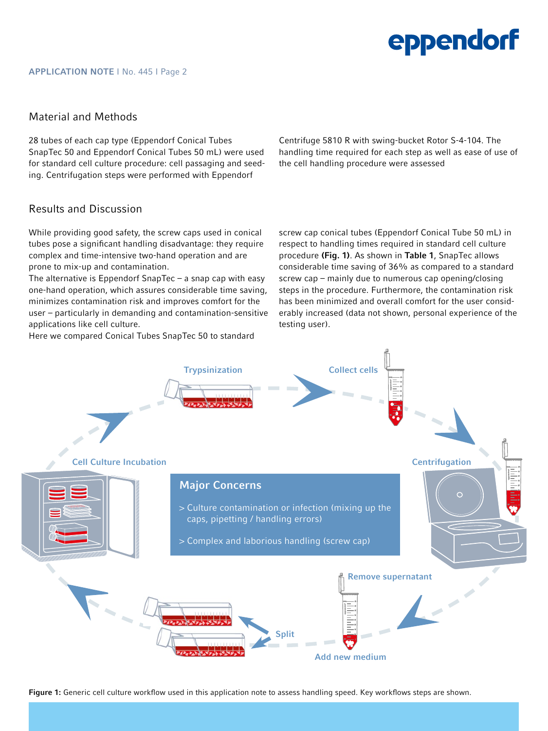# eppendorf

#### Material and Methods

28 tubes of each cap type (Eppendorf Conical Tubes SnapTec 50 and Eppendorf Conical Tubes 50 mL) were used for standard cell culture procedure: cell passaging and seeding. Centrifugation steps were performed with Eppendorf

Centrifuge 5810 R with swing-bucket Rotor S-4-104. The handling time required for each step as well as ease of use of the cell handling procedure were assessed

### Results and Discussion

While providing good safety, the screw caps used in conical tubes pose a significant handling disadvantage: they require complex and time-intensive two-hand operation and are prone to mix-up and contamination.

The alternative is Eppendorf SnapTec – a snap cap with easy one-hand operation, which assures considerable time saving, minimizes contamination risk and improves comfort for the user – particularly in demanding and contamination-sensitive applications like cell culture.

Here we compared Conical Tubes SnapTec 50 to standard

screw cap conical tubes (Eppendorf Conical Tube 50 mL) in respect to handling times required in standard cell culture procedure (Fig. 1). As shown in Table 1, SnapTec allows considerable time saving of 36% as compared to a standard screw cap – mainly due to numerous cap opening/closing steps in the procedure. Furthermore, the contamination risk has been minimized and overall comfort for the user considerably increased (data not shown, personal experience of the testing user).



Figure 1: Generic cell culture workflow used in this application note to assess handling speed. Key workflows steps are shown.